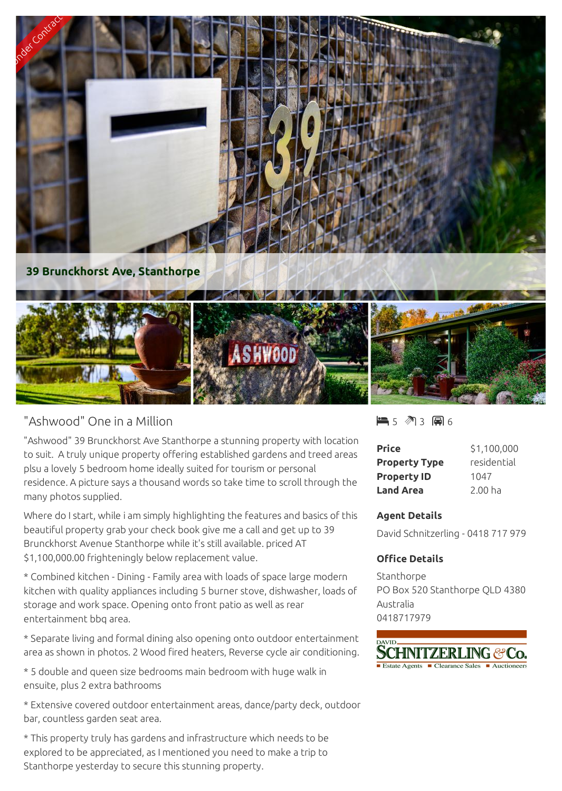

## "Ashwood" One in a Million

"Ashwood" 39 Brunckhorst Ave Stanthorpe a stunning property with location to suit. A truly unique property offering established gardens and treed areas plsu a lovely 5 bedroom home ideally suited for tourism or personal residence. A picture says a thousand words so take time to scroll through the many photos supplied.

Where do I start, while i am simply highlighting the features and basics of this beautiful property grab your check book give me a call and get up to 39 Brunckhorst Avenue Stanthorpe while it's still available. priced AT \$1,100,000.00 frighteningly below replacement value.

\* Combined kitchen - Dining - Family area with loads of space large modern kitchen with quality appliances including 5 burner stove, dishwasher, loads of storage and work space. Opening onto front patio as well as rear entertainment bbq area.

\* Separate living and formal dining also opening onto outdoor entertainment area as shown in photos. 2 Wood fired heaters, Reverse cycle air conditioning.

\* 5 double and queen size bedrooms main bedroom with huge walk in ensuite, plus 2 extra bathrooms

\* Extensive covered outdoor entertainment areas, dance/party deck, outdoor bar, countless garden seat area.

\* This property truly has gardens and infrastructure which needs to be explored to be appreciated, as I mentioned you need to make a trip to Stanthorpe yesterday to secure this stunning property.

5 3 6

| Price                | \$1,100,000        |
|----------------------|--------------------|
| <b>Property Type</b> | residential        |
| <b>Property ID</b>   | 1047               |
| <b>Land Area</b>     | 2.00 <sub>ha</sub> |

## **Agent Details**

David Schnitzerling - 0418 717 979

## **Office Details**

Stanthorpe PO Box 520 Stanthorpe QLD 4380 Australia 0418717979